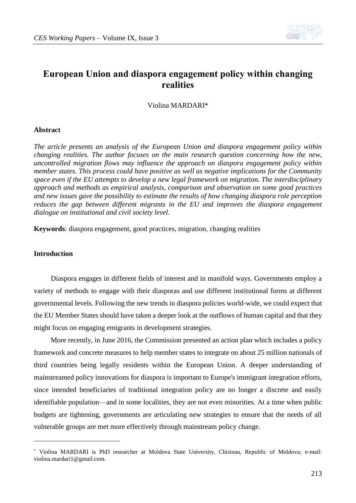

# **European Union and diaspora engagement policy within changing realities**

Violina MARDARI\*

### **Abstract**

*The article presents an analysis of the European Union and diaspora engagement policy within changing realities. The author focuses on the main research question concerning how the new, uncontrolled migration flows may influence the approach on diaspora engagement policy within member states. This process could have positive as well as negative implications for the Community space even if the EU attempts to develop a new legal framework on migration. The interdisciplinary approach and methods as empirical analysis, comparison and observation on some good practices and new issues gave the possibility to estimate the results of how changing diaspora role perception reduces the gap between different migrants in the EU and improves the diaspora engagement dialogue on institutional and civil society level.*

**Keywords**: diaspora engagement, good practices, migration, changing realities

# **Introduction**

1

Diaspora engages in different fields of interest and in manifold ways. Governments employ a variety of methods to engage with their diasporas and use different institutional forms at different governmental levels. Following the new trends in diaspora policies world-wide, we could expect that the EU Member States should have taken a deeper look at the outflows of human capital and that they might focus on engaging emigrants in development strategies.

More recently, in June 2016, the Commission presented an action plan which includes a policy framework and concrete measures to help member states to integrate on about 25 million nationals of third countries being legally residents within the European Union. A deeper understanding of mainstreamed policy innovations for diaspora is important to Europe's immigrant integration efforts, since intended beneficiaries of traditional integration policy are no longer a discrete and easily identifiable population—and in some localities, they are not even minorities. At a time when public budgets are tightening, governments are articulating new strategies to ensure that the needs of all vulnerable groups are met more effectively through mainstream policy change.

<sup>\*</sup> Violina MARDARI is PhD researcher at Moldova State University, Chisinau, Republic of Moldova; e-mail: violina.mardari1@gmail.com.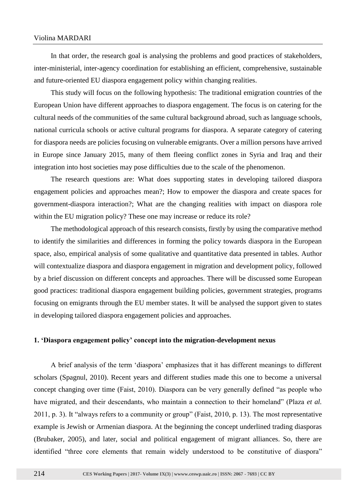# Violina MARDARI

In that order, the research goal is analysing the problems and good practices of stakeholders, inter-ministerial, inter-agency coordination for establishing an efficient, comprehensive, sustainable and future-oriented EU diaspora engagement policy within changing realities.

This study will focus on the following hypothesis: The traditional emigration countries of the European Union have different approaches to diaspora engagement. The focus is on catering for the cultural needs of the communities of the same cultural background abroad, such as language schools, national curricula schools or active cultural programs for diaspora. A separate category of catering for diaspora needs are policies focusing on vulnerable emigrants. Over a million persons have arrived in Europe since January 2015, many of them fleeing conflict zones in Syria and Iraq and their integration into host societies may pose difficulties due to the scale of the phenomenon.

The research questions are: What does supporting states in developing tailored diaspora engagement policies and approaches mean?; How to empower the diaspora and create spaces for government-diaspora interaction?; What are the changing realities with impact on diaspora role within the EU migration policy? These one may increase or reduce its role?

The methodological approach of this research consists, firstly by using the comparative method to identify the similarities and differences in forming the policy towards diaspora in the European space, also, empirical analysis of some qualitative and quantitative data presented in tables. Author will contextualize diaspora and diaspora engagement in migration and development policy, followed by a brief discussion on different concepts and approaches. There will be discussed some European good practices: traditional diaspora engagement building policies, government strategies, programs focusing on emigrants through the EU member states. It will be analysed the support given to states in developing tailored diaspora engagement policies and approaches.

#### **1. 'Diaspora engagement policy' concept into the migration-development nexus**

A brief analysis of the term 'diaspora' emphasizes that it has different meanings to different scholars (Spagnul, 2010). Recent years and different studies made this one to become a universal concept changing over time (Faist, 2010). Diaspora can be very generally defined "as people who have migrated, and their descendants, who maintain a connection to their homeland" (Plaza *et al.* 2011, p. 3). It "always refers to a community or group" (Faist, 2010, p. 13). The most representative example is Jewish or Armenian diaspora. At the beginning the concept underlined trading diasporas (Brubaker, 2005), and later, social and political engagement of migrant alliances. So, there are identified "three core elements that remain widely understood to be constitutive of diaspora"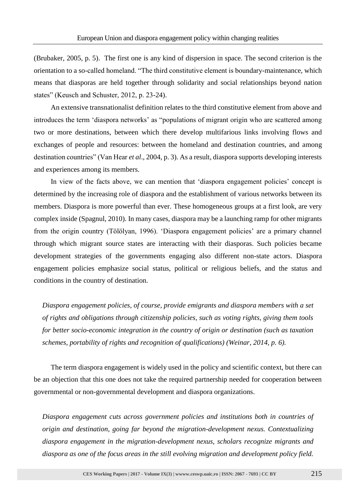(Brubaker, 2005, p. 5). The first one is any kind of dispersion in space. The second criterion is the orientation to a so-called homeland. "The third constitutive element is boundary-maintenance, which means that diasporas are held together through solidarity and social relationships beyond nation states" (Keusch and Schuster, 2012, p. 23-24).

An extensive transnationalist definition relates to the third constitutive element from above and introduces the term 'diaspora networks' as "populations of migrant origin who are scattered among two or more destinations, between which there develop multifarious links involving flows and exchanges of people and resources: between the homeland and destination countries, and among destination countries" (Van Hear *et al*., 2004, p. 3). As a result, diaspora supports developing interests and experiences among its members.

In view of the facts above, we can mention that 'diaspora engagement policies' concept is determined by the increasing role of diaspora and the establishment of various networks between its members. Diaspora is more powerful than ever. These homogeneous groups at a first look, are very complex inside (Spagnul, 2010). In many cases, diaspora may be a launching ramp for other migrants from the origin country (Tölölyan, 1996). 'Diaspora engagement policies' are a primary channel through which migrant source states are interacting with their diasporas. Such policies became development strategies of the governments engaging also different non-state actors. Diaspora engagement policies emphasize social status, political or religious beliefs, and the status and conditions in the country of destination.

*Diaspora engagement policies, of course, provide emigrants and diaspora members with a set of rights and obligations through citizenship policies, such as voting rights, giving them tools for better socio-economic integration in the country of origin or destination (such as taxation schemes, portability of rights and recognition of qualifications) (Weinar, 2014, p. 6).*

The term diaspora engagement is widely used in the policy and scientific context, but there can be an objection that this one does not take the required partnership needed for cooperation between governmental or non-governmental development and diaspora organizations.

*Diaspora engagement cuts across government policies and institutions both in countries of origin and destination, going far beyond the migration-development nexus. Contextualizing diaspora engagement in the migration-development nexus, scholars recognize migrants and diaspora as one of the focus areas in the still evolving migration and development policy field.*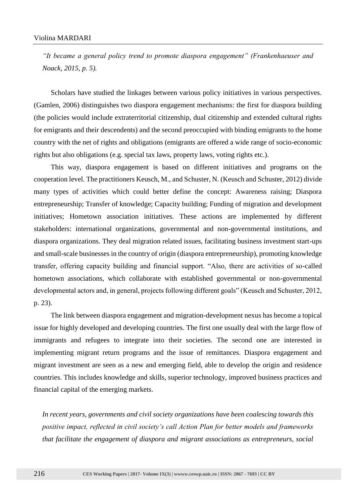*"It became a general policy trend to promote diaspora engagement" (Frankenhaeuser and Noack, 2015, p. 5).*

Scholars have studied the linkages between various policy initiatives in various perspectives. (Gamlen, 2006) distinguishes two diaspora engagement mechanisms: the first for diaspora building (the policies would include extraterritorial citizenship, dual citizenship and extended cultural rights for emigrants and their descendents) and the second preoccupied with binding emigrants to the home country with the net of rights and obligations (emigrants are offered a wide range of socio-economic rights but also obligations (e.g. special tax laws, property laws, voting rights etc.).

This way, diaspora engagement is based on different initiatives and programs on the cooperation level. The practitioners Keusch, M., and Schuster, N. (Keusch and Schuster, 2012) divide many types of activities which could better define the concept: Awareness raising; Diaspora entrepreneurship; Transfer of knowledge; Capacity building; Funding of migration and development initiatives; Hometown association initiatives. These actions are implemented by different stakeholders: international organizations, governmental and non-governmental institutions, and diaspora organizations. They deal migration related issues, facilitating business investment start-ups and small-scale businesses in the country of origin (diaspora entrepreneurship), promoting knowledge transfer, offering capacity building and financial support. "Also, there are activities of so-called hometown associations, which collaborate with established governmental or non-governmental developmental actors and, in general, projects following different goals" (Keusch and Schuster, 2012, p. 23).

The link between diaspora engagement and migration-development nexus has become a topical issue for highly developed and developing countries. The first one usually deal with the large flow of immigrants and refugees to integrate into their societies. The second one are interested in implementing migrant return programs and the issue of remittances. Diaspora engagement and migrant investment are seen as a new and emerging field, able to develop the origin and residence countries. This includes knowledge and skills, superior technology, improved business practices and financial capital of the emerging markets.

*In recent years, governments and civil society organizations have been coalescing towards this positive impact, reflected in civil society's call Action Plan for better models and frameworks that facilitate the engagement of diaspora and migrant associations as entrepreneurs, social*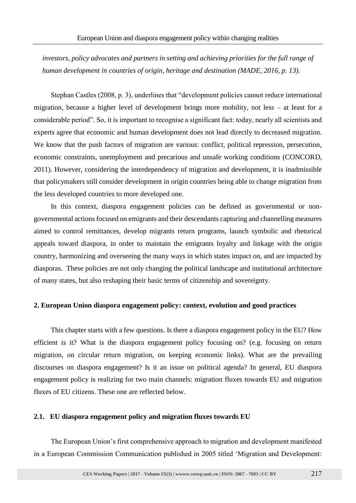*investors, policy advocates and partners in setting and achieving priorities for the full range of human development in countries of origin, heritage and destination (MADE, 2016, p. 13).*

Stephan Castles (2008, p. 3), underlines that "development policies cannot reduce international migration, because a higher level of development brings more mobility, not less – at least for a considerable period". So, it is important to recognise a significant fact: today, nearly all scientists and experts agree that economic and human development does not lead directly to decreased migration. We know that the push factors of migration are various: conflict, political repression, persecution, economic constraints, unemployment and precarious and unsafe working conditions (CONCORD, 2011). However, considering the interdependency of migration and development, it is inadmissible that policymakers still consider development in origin countries being able to change migration from the less developed countries to more developed one.

In this context, diaspora engagement policies can be defined as governmental or nongovernmental actions focused on emigrants and their descendants capturing and channelling measures aimed to control remittances, develop migrants return programs, launch symbolic and rhetorical appeals toward diaspora, in order to maintain the emigrants loyalty and linkage with the origin country, harmonizing and overseeing the many ways in which states impact on, and are impacted by diasporas. These policies are not only changing the political landscape and institutional architecture of many states, but also reshaping their basic terms of citizenship and sovereignty.

# **2. European Union diaspora engagement policy: context, evolution and good practices**

This chapter starts with a few questions. Is there a diaspora engagement policy in the EU? How efficient is it? What is the diaspora engagement policy focusing on? (e.g. focusing on return migration, on circular return migration, on keeping economic links). What are the prevailing discourses on diaspora engagement? Is it an issue on political agenda? In general, EU diaspora engagement policy is realizing for two main channels: migration fluxes towards EU and migration fluxes of EU citizens. These one are reflected below.

# **2.1. EU diaspora engagement policy and migration fluxes towards EU**

The European Union's first comprehensive approach to migration and development manifested in a European Commission Communication published in 2005 titled 'Migration and Development: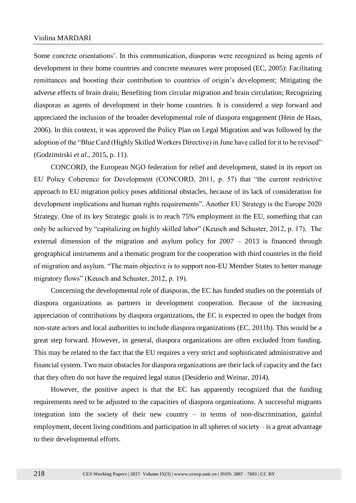Some concrete orientations'. In this communication, diasporas were recognized as being agents of development in their home countries and concrete measures were proposed (EC, 2005): Facilitating remittances and boosting their contribution to countries of origin's development; Mitigating the adverse effects of brain drain; Benefiting from circular migration and brain circulation; Recognizing diasporas as agents of development in their home countries. It is considered a step forward and appreciated the inclusion of the broader developmental role of diaspora engagement (Hein de Haas, 2006). In this context, it was approved the Policy Plan on Legal Migration and was followed by the adoption of the "Blue Card (Highly Skilled Workers Directive) in June have called for it to be revised" (Godzimirski *et al*., 2015, p. 11).

CONCORD, the European NGO federation for relief and development, stated in its report on EU Policy Coherence for Development (CONCORD, 2011, p. 57) that "the current restrictive approach to EU migration policy poses additional obstacles, because of its lack of consideration for development implications and human rights requirements". Another EU Strategy is the Europe 2020 Strategy. One of its key Strategic goals is to reach 75% employment in the EU, something that can only be achieved by "capitalizing on highly skilled labor" (Keusch and Schuster, 2012, p. 17). The external dimension of the migration and asylum policy for 2007 – 2013 is financed through geographical instruments and a thematic program for the cooperation with third countries in the field of migration and asylum. "The main objective is to support non-EU Member States to better manage migratory flows" (Keusch and Schuster, 2012, p. 19).

Concerning the developmental role of diasporas, the EC has funded studies on the potentials of diaspora organizations as partners in development cooperation. Because of the increasing appreciation of contributions by diaspora organizations, the EC is expected to open the budget from non-state actors and local authorities to include diaspora organizations (EC, 2011b). This would be a great step forward. However, in general, diaspora organizations are often excluded from funding. This may be related to the fact that the EU requires a very strict and sophisticated administrative and financial system. Two main obstacles for diaspora organizations are their lack of capacity and the fact that they often do not have the required legal status (Desiderio and Weinar, 2014).

However, the positive aspect is that the EC has apparently recognized that the funding requirements need to be adjusted to the capacities of diaspora organizations. A successful migrants integration into the society of their new country – in terms of non-discrimination, gainful employment, decent living conditions and participation in all spheres of society – is a great advantage to their developmental efforts.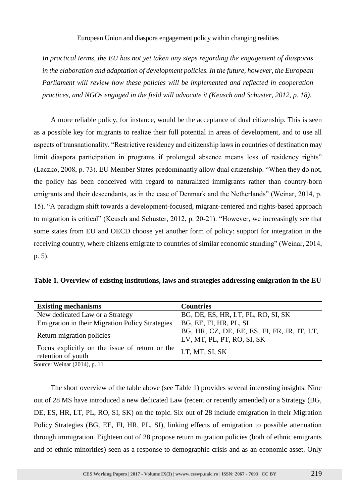*In practical terms, the EU has not yet taken any steps regarding the engagement of diasporas in the elaboration and adaptation of development policies. In the future, however, the European Parliament will review how these policies will be implemented and reflected in cooperation practices, and NGOs engaged in the field will advocate it (Keusch and Schuster, 2012, p. 18).*

A more reliable policy, for instance, would be the acceptance of dual citizenship. This is seen as a possible key for migrants to realize their full potential in areas of development, and to use all aspects of transnationality. "Restrictive residency and citizenship laws in countries of destination may limit diaspora participation in programs if prolonged absence means loss of residency rights" (Laczko, 2008, p. 73). EU Member States predominantly allow dual citizenship. "When they do not, the policy has been conceived with regard to naturalized immigrants rather than country-born emigrants and their descendants, as in the case of Denmark and the Netherlands" (Weinar, 2014, p. 15). "A paradigm shift towards a development-focused, migrant-centered and rights-based approach to migration is critical" (Keusch and Schuster, 2012, p. 20-21). "However, we increasingly see that some states from EU and OECD choose yet another form of policy: support for integration in the receiving country, where citizens emigrate to countries of similar economic standing" (Weinar, 2014, p. 5).

**Table 1. Overview of existing institutions, laws and strategies addressing emigration in the EU**

| <b>Existing mechanisms</b>                                           | <b>Countries</b>                                                          |
|----------------------------------------------------------------------|---------------------------------------------------------------------------|
| New dedicated Law or a Strategy                                      | BG, DE, ES, HR, LT, PL, RO, SI, SK                                        |
| <b>Emigration in their Migration Policy Strategies</b>               | BG, EE, FI, HR, PL, SI                                                    |
| Return migration policies                                            | BG, HR, CZ, DE, EE, ES, FI, FR, IR, IT, LT,<br>LV, MT, PL, PT, RO, SI, SK |
| Focus explicitly on the issue of return or the<br>retention of youth | LT, MT, SI, SK                                                            |
| $\text{Quropa: } \text{Wainar} (2014)$ n 11                          |                                                                           |

Source: Weinar (2014), p. 11

The short overview of the table above (see Table 1) provides several interesting insights. Nine out of 28 MS have introduced a new dedicated Law (recent or recently amended) or a Strategy (BG, DE, ES, HR, LT, PL, RO, SI, SK) on the topic. Six out of 28 include emigration in their Migration Policy Strategies (BG, EE, FI, HR, PL, SI), linking effects of emigration to possible attenuation through immigration. Eighteen out of 28 propose return migration policies (both of ethnic emigrants and of ethnic minorities) seen as a response to demographic crisis and as an economic asset. Only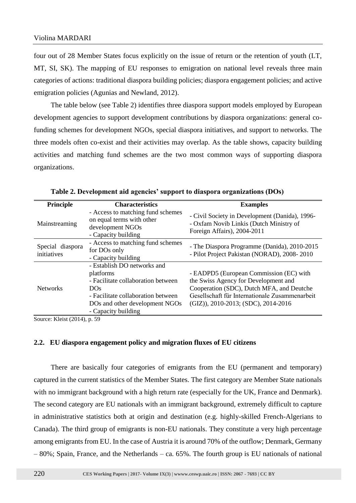four out of 28 Member States focus explicitly on the issue of return or the retention of youth (LT, MT, SI, SK). The mapping of EU responses to emigration on national level reveals three main categories of actions: traditional diaspora building policies; diaspora engagement policies; and active emigration policies (Agunias and Newland, 2012).

The table below (see Table 2) identifies three diaspora support models employed by European development agencies to support development contributions by diaspora organizations: general cofunding schemes for development NGOs, special diaspora initiatives, and support to networks. The three models often co-exist and their activities may overlap. As the table shows, capacity building activities and matching fund schemes are the two most common ways of supporting diaspora organizations.

| <b>Principle</b>                | <b>Characteristics</b>                                                                                                                                                               | <b>Examples</b>                                                                                                                                                                                                         |
|---------------------------------|--------------------------------------------------------------------------------------------------------------------------------------------------------------------------------------|-------------------------------------------------------------------------------------------------------------------------------------------------------------------------------------------------------------------------|
| Mainstreaming                   | - Access to matching fund schemes<br>on equal terms with other<br>development NGOs<br>- Capacity building                                                                            | - Civil Society in Development (Danida), 1996-<br>- Oxfam Novib Linkis (Dutch Ministry of<br>Foreign Affairs), 2004-2011                                                                                                |
| Special diaspora<br>initiatives | - Access to matching fund schemes<br>for DO <sub>s</sub> only<br>- Capacity building                                                                                                 | - The Diaspora Programme (Danida), 2010-2015<br>- Pilot Project Pakistan (NORAD), 2008-2010                                                                                                                             |
| <b>Networks</b>                 | - Establish DO networks and<br>platforms<br>- Facilitate collaboration between<br>DOS<br>- Facilitate collaboration between<br>DOs and other development NGOs<br>- Capacity building | - EADPD5 (European Commission (EC) with<br>the Swiss Agency for Development and<br>Cooperation (SDC), Dutch MFA, and Deutche<br>Gesellschaft für Internationale Zusammenarbeit<br>$(GIZ)$ , 2010-2013; (SDC), 2014-2016 |

**Table 2. Development aid agencies' support to diaspora organizations (DOs)**

Source: Kleist (2014), p. 59

# **2.2. EU diaspora engagement policy and migration fluxes of EU citizens**

There are basically four categories of emigrants from the EU (permanent and temporary) captured in the current statistics of the Member States. The first category are Member State nationals with no immigrant background with a high return rate (especially for the UK, France and Denmark). The second category are EU nationals with an immigrant background, extremely difficult to capture in administrative statistics both at origin and destination (e.g. highly-skilled French-Algerians to Canada). The third group of emigrants is non-EU nationals. They constitute a very high percentage among emigrants from EU. In the case of Austria it is around 70% of the outflow; Denmark, Germany – 80%; Spain, France, and the Netherlands – ca. 65%. The fourth group is EU nationals of national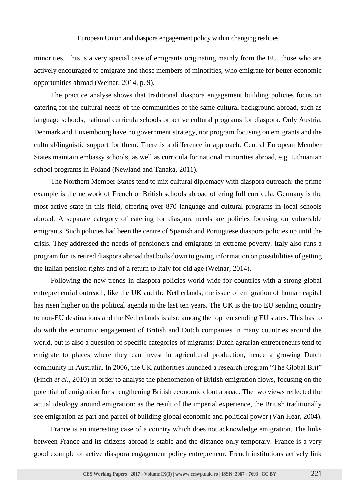minorities. This is a very special case of emigrants originating mainly from the EU, those who are actively encouraged to emigrate and those members of minorities, who emigrate for better economic opportunities abroad (Weinar, 2014, p. 9).

The practice analyse shows that traditional diaspora engagement building policies focus on catering for the cultural needs of the communities of the same cultural background abroad, such as language schools, national curricula schools or active cultural programs for diaspora. Only Austria, Denmark and Luxembourg have no government strategy, nor program focusing on emigrants and the cultural/linguistic support for them. There is a difference in approach. Central European Member States maintain embassy schools, as well as curricula for national minorities abroad, e.g. Lithuanian school programs in Poland (Newland and Tanaka, 2011).

The Northern Member States tend to mix cultural diplomacy with diaspora outreach: the prime example is the network of French or British schools abroad offering full curricula. Germany is the most active state in this field, offering over 870 language and cultural programs in local schools abroad. A separate category of catering for diaspora needs are policies focusing on vulnerable emigrants. Such policies had been the centre of Spanish and Portuguese diaspora policies up until the crisis. They addressed the needs of pensioners and emigrants in extreme poverty. Italy also runs a program for its retired diaspora abroad that boils down to giving information on possibilities of getting the Italian pension rights and of a return to Italy for old age (Weinar, 2014).

Following the new trends in diaspora policies world-wide for countries with a strong global entrepreneurial outreach, like the UK and the Netherlands, the issue of emigration of human capital has risen higher on the political agenda in the last ten years. The UK is the top EU sending country to non-EU destinations and the Netherlands is also among the top ten sending EU states. This has to do with the economic engagement of British and Dutch companies in many countries around the world, but is also a question of specific categories of migrants: Dutch agrarian entrepreneurs tend to emigrate to places where they can invest in agricultural production, hence a growing Dutch community in Australia. In 2006, the UK authorities launched a research program "The Global Brit" (Finch *et al*., 2010) in order to analyse the phenomenon of British emigration flows, focusing on the potential of emigration for strengthening British economic clout abroad. The two views reflected the actual ideology around emigration: as the result of the imperial experience, the British traditionally see emigration as part and parcel of building global economic and political power (Van Hear, 2004).

France is an interesting case of a country which does not acknowledge emigration. The links between France and its citizens abroad is stable and the distance only temporary. France is a very good example of active diaspora engagement policy entrepreneur. French institutions actively link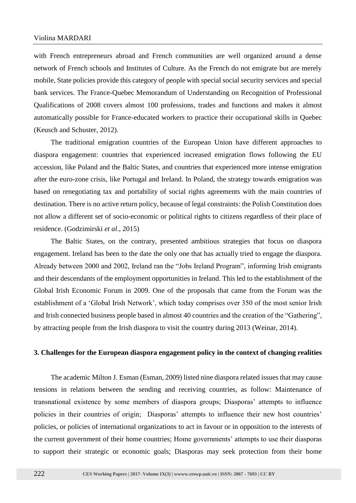with French entrepreneurs abroad and French communities are well organized around a dense network of French schools and Institutes of Culture. As the French do not emigrate but are merely mobile, State policies provide this category of people with special social security services and special bank services. The France-Quebec Memorandum of Understanding on Recognition of Professional Qualifications of 2008 covers almost 100 professions, trades and functions and makes it almost automatically possible for France-educated workers to practice their occupational skills in Quebec (Keusch and Schuster, 2012).

The traditional emigration countries of the European Union have different approaches to diaspora engagement: countries that experienced increased emigration flows following the EU accession, like Poland and the Baltic States, and countries that experienced more intense emigration after the euro-zone crisis, like Portugal and Ireland. In Poland, the strategy towards emigration was based on renegotiating tax and portability of social rights agreements with the main countries of destination. There is no active return policy, because of legal constraints: the Polish Constitution does not allow a different set of socio-economic or political rights to citizens regardless of their place of residence. (Godzimirski *et al*., 2015)

The Baltic States, on the contrary, presented ambitious strategies that focus on diaspora engagement. Ireland has been to the date the only one that has actually tried to engage the diaspora. Already between 2000 and 2002, Ireland ran the "Jobs Ireland Program", informing Irish emigrants and their descendants of the employment opportunities in Ireland. This led to the establishment of the Global Irish Economic Forum in 2009. One of the proposals that came from the Forum was the establishment of a 'Global Irish Network', which today comprises over 350 of the most senior Irish and Irish connected business people based in almost 40 countries and the creation of the "Gathering", by attracting people from the Irish diaspora to visit the country during 2013 (Weinar, 2014).

#### **3. Challenges for the European diaspora engagement policy in the context of changing realities**

The academic Milton J. Esman (Esman, 2009) listed nine diaspora related issues that may cause tensions in relations between the sending and receiving countries, as follow: Maintenance of transnational existence by some members of diaspora groups; Diasporas' attempts to influence policies in their countries of origin; Diasporas' attempts to influence their new host countries' policies, or policies of international organizations to act in favour or in opposition to the interests of the current government of their home countries; Home governments' attempts to use their diasporas to support their strategic or economic goals; Diasporas may seek protection from their home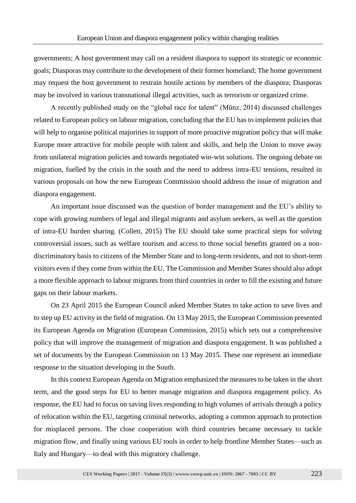governments; A host government may call on a resident diaspora to support its strategic or economic goals; Diasporas may contribute to the development of their former homeland; The home government may request the host government to restrain hostile actions by members of the diaspora; Diasporas may be involved in various transnational illegal activities, such as terrorism or organized crime.

A recently published study on the "global race for talent" (Münz, 2014) discussed challenges related to European policy on labour migration, concluding that the EU has to implement policies that will help to organise political majorities in support of more proactive migration policy that will make Europe more attractive for mobile people with talent and skills, and help the Union to move away from unilateral migration policies and towards negotiated win-win solutions. The ongoing debate on migration, fuelled by the crisis in the south and the need to address intra-EU tensions, resulted in various proposals on how the new European Commission should address the issue of migration and diaspora engagement.

An important issue discussed was the question of border management and the EU's ability to cope with growing numbers of legal and illegal migrants and asylum seekers, as well as the question of intra-EU burden sharing. (Collett, 2015) The EU should take some practical steps for solving controversial issues, such as welfare tourism and access to those social benefits granted on a nondiscriminatory basis to citizens of the Member State and to long-term residents, and not to short-term visitors even if they come from within the EU. The Commission and Member States should also adopt a more flexible approach to labour migrants from third countries in order to fill the existing and future gaps on their labour markets.

On 23 April 2015 the European Council asked Member States to take action to save lives and to step up EU activity in the field of migration. On 13 May 2015, the European Commission presented its European Agenda on Migration (European Commission, 2015) which sets out a comprehensive policy that will improve the management of migration and diaspora engagement. It was published a set of documents by the European Commission on 13 May 2015. These one represent an immediate response to the situation developing in the South.

In this context European Agenda on Migration emphasized the measures to be taken in the short term, and the good steps for EU to better manage migration and diaspora engagement policy. As response, the EU had to focus on saving lives responding to high volumes of arrivals through a policy of relocation within the EU, targeting criminal networks, adopting a common approach to protection for misplaced persons. The close cooperation with third countries became necessary to tackle migration flow, and finally using various EU tools in order to help frontline Member States—such as Italy and Hungary—to deal with this migratory challenge.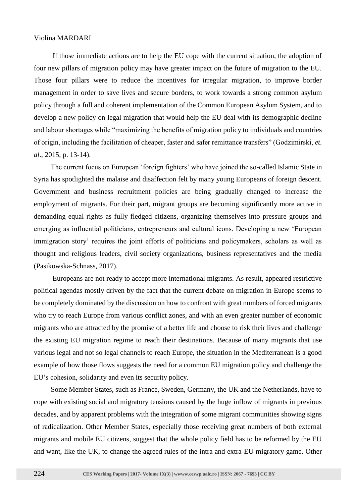If those immediate actions are to help the EU cope with the current situation, the adoption of four new pillars of migration policy may have greater impact on the future of migration to the EU. Those four pillars were to reduce the incentives for irregular migration, to improve border management in order to save lives and secure borders, to work towards a strong common asylum policy through a full and coherent implementation of the Common European Asylum System, and to develop a new policy on legal migration that would help the EU deal with its demographic decline and labour shortages while "maximizing the benefits of migration policy to individuals and countries of origin, including the facilitation of cheaper, faster and safer remittance transfers" (Godzimirski, *et. al*., 2015, p. 13-14).

The current focus on European 'foreign fighters' who have joined the so-called Islamic State in Syria has spotlighted the malaise and disaffection felt by many young Europeans of foreign descent. Government and business recruitment policies are being gradually changed to increase the employment of migrants. For their part, migrant groups are becoming significantly more active in demanding equal rights as fully fledged citizens, organizing themselves into pressure groups and emerging as influential politicians, entrepreneurs and cultural icons. Developing a new 'European immigration story' requires the joint efforts of politicians and policymakers, scholars as well as thought and religious leaders, civil society organizations, business representatives and the media (Pasikowska-Schnass, 2017).

Europeans are not ready to accept more international migrants. As result, appeared restrictive political agendas mostly driven by the fact that the current debate on migration in Europe seems to be completely dominated by the discussion on how to confront with great numbers of forced migrants who try to reach Europe from various conflict zones, and with an even greater number of economic migrants who are attracted by the promise of a better life and choose to risk their lives and challenge the existing EU migration regime to reach their destinations. Because of many migrants that use various legal and not so legal channels to reach Europe, the situation in the Mediterranean is a good example of how those flows suggests the need for a common EU migration policy and challenge the EU's cohesion, solidarity and even its security policy.

Some Member States, such as France, Sweden, Germany, the UK and the Netherlands, have to cope with existing social and migratory tensions caused by the huge inflow of migrants in previous decades, and by apparent problems with the integration of some migrant communities showing signs of radicalization. Other Member States, especially those receiving great numbers of both external migrants and mobile EU citizens, suggest that the whole policy field has to be reformed by the EU and want, like the UK, to change the agreed rules of the intra and extra-EU migratory game. Other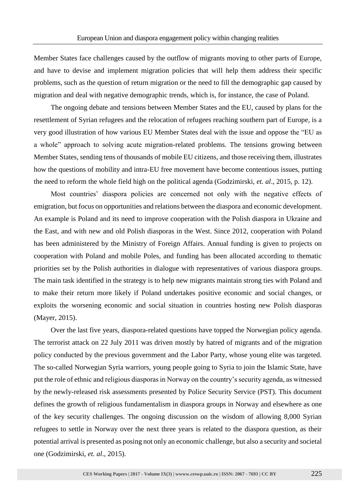Member States face challenges caused by the outflow of migrants moving to other parts of Europe, and have to devise and implement migration policies that will help them address their specific problems, such as the question of return migration or the need to fill the demographic gap caused by migration and deal with negative demographic trends, which is, for instance, the case of Poland.

The ongoing debate and tensions between Member States and the EU, caused by plans for the resettlement of Syrian refugees and the relocation of refugees reaching southern part of Europe, is a very good illustration of how various EU Member States deal with the issue and oppose the "EU as a whole" approach to solving acute migration-related problems. The tensions growing between Member States, sending tens of thousands of mobile EU citizens, and those receiving them, illustrates how the questions of mobility and intra-EU free movement have become contentious issues, putting the need to reform the whole field high on the political agenda (Godzimirski, *et. al*., 2015, p. 12).

Most countries' diaspora policies are concerned not only with the negative effects of emigration, but focus on opportunities and relations between the diaspora and economic development. An example is Poland and its need to improve cooperation with the Polish diaspora in Ukraine and the East, and with new and old Polish diasporas in the West. Since 2012, cooperation with Poland has been administered by the Ministry of Foreign Affairs. Annual funding is given to projects on cooperation with Poland and mobile Poles, and funding has been allocated according to thematic priorities set by the Polish authorities in dialogue with representatives of various diaspora groups. The main task identified in the strategy is to help new migrants maintain strong ties with Poland and to make their return more likely if Poland undertakes positive economic and social changes, or exploits the worsening economic and social situation in countries hosting new Polish diasporas (Mayer, 2015).

Over the last five years, diaspora-related questions have topped the Norwegian policy agenda. The terrorist attack on 22 July 2011 was driven mostly by hatred of migrants and of the migration policy conducted by the previous government and the Labor Party, whose young elite was targeted. The so-called Norwegian Syria warriors, young people going to Syria to join the Islamic State, have put the role of ethnic and religious diasporas in Norway on the country's security agenda, as witnessed by the newly-released risk assessments presented by Police Security Service (PST). This document defines the growth of religious fundamentalism in diaspora groups in Norway and elsewhere as one of the key security challenges. The ongoing discussion on the wisdom of allowing 8,000 Syrian refugees to settle in Norway over the next three years is related to the diaspora question, as their potential arrival is presented as posing not only an economic challenge, but also a security and societal one (Godzimirski, *et. al*., 2015).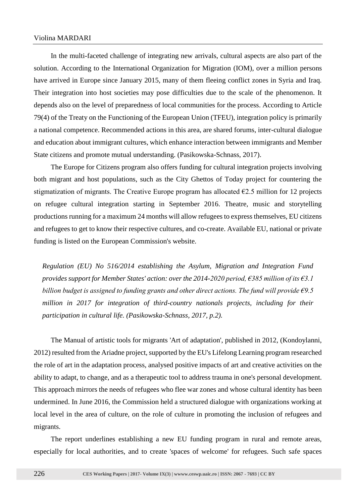In the multi-faceted challenge of integrating new arrivals, cultural aspects are also part of the solution. According to the [International Organization for Migration](https://www.iom.int/) (IOM), over a million persons have arrived in Europe since January 2015, many of them fleeing conflict zones in Syria and Iraq. Their integration into host societies may pose difficulties due to the scale of the phenomenon. It depends also on the level of preparedness of local communities for the process. According to Article 79(4) of the Treaty on the Functioning of the European Union (TFEU), integration policy is primarily a national competence. Recommended actions in this area, are shared forums, inter-cultural dialogue and education about immigrant cultures, which enhance interaction between immigrants and Member State citizens and promote mutual understanding. (Pasikowska-Schnass, 2017).

The Europe for Citizens program also offers funding for cultural integration projects involving both migrant and host populations, such as the City Ghettos of Today project for countering the stigmatization of migrants. The Creative Europe program has allocated  $\epsilon$ 2.5 million for 12 projects on refugee cultural integration starting in September 2016. Theatre, music and storytelling productions running for a maximum 24 months will allow refugees to express themselves, EU citizens and refugees to get to know their respective cultures, and co-create. Available EU, national or private funding is listed on the European Commission's website.

*Regulation (EU) No 516/2014 establishing the Asylum, Migration and Integration Fund provides support for Member States' action: over the 2014-2020 period, €385 million of its €3.1 billion budget is assigned to funding grants and other direct actions. The fund will provide €9.5 million in 2017 for integration of third-country nationals projects, including for their participation in cultural life. (Pasikowska-Schnass, 2017, p.2).*

The Manual of artistic tools for migrants 'Art of adaptation', published in 2012, (Kondoylanni, 2012) resulted from the Ariadne project, supported by the EU's Lifelong Learning program researched the role of art in the adaptation process, analysed positive impacts of art and creative activities on the ability to adapt, to change, and as a therapeutic tool to address trauma in one's personal development. This approach mirrors the needs of refugees who flee war zones and whose cultural identity has been undermined. In June 2016, the Commission held a structured dialogue with organizations working at local level in the area of culture, on the role of culture in promoting the inclusion of refugees and migrants.

The report underlines establishing a new EU funding program in rural and remote areas, especially for local authorities, and to create 'spaces of welcome' for refugees. Such safe spaces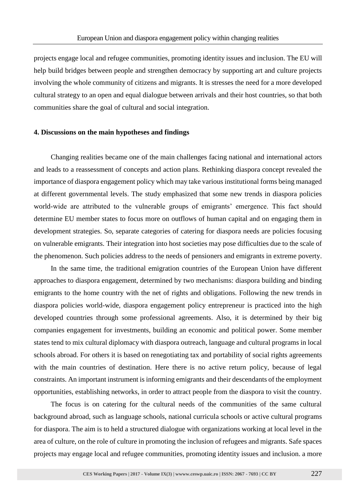projects engage local and refugee communities, promoting identity issues and inclusion. The EU will help build bridges between people and strengthen democracy by supporting art and culture projects involving the whole community of citizens and migrants. It is stresses the need for a more developed cultural strategy to an open and equal dialogue between arrivals and their host countries, so that both communities share the goal of cultural and social integration.

#### **4. Discussions on the main hypotheses and findings**

Changing realities became one of the main challenges facing national and international actors and leads to a reassessment of concepts and action plans. Rethinking diaspora concept revealed the importance of diaspora engagement policy which may take various institutional forms being managed at different governmental levels. The study emphasized that some new trends in diaspora policies world-wide are attributed to the vulnerable groups of emigrants' emergence. This fact should determine EU member states to focus more on outflows of human capital and on engaging them in development strategies. So, separate categories of catering for diaspora needs are policies focusing on vulnerable emigrants. Their integration into host societies may pose difficulties due to the scale of the phenomenon. Such policies address to the needs of pensioners and emigrants in extreme poverty.

In the same time, the traditional emigration countries of the European Union have different approaches to diaspora engagement, determined by two mechanisms: diaspora building and binding emigrants to the home country with the net of rights and obligations. Following the new trends in diaspora policies world-wide, diaspora engagement policy entrepreneur is practiced into the high developed countries through some professional agreements. Also, it is determined by their big companies engagement for investments, building an economic and political power. Some member states tend to mix cultural diplomacy with diaspora outreach, language and cultural programs in local schools abroad. For others it is based on renegotiating tax and portability of social rights agreements with the main countries of destination. Here there is no active return policy, because of legal constraints. An important instrument is informing emigrants and their descendants of the employment opportunities, establishing networks, in order to attract people from the diaspora to visit the country.

The focus is on catering for the cultural needs of the communities of the same cultural background abroad, such as language schools, national curricula schools or active cultural programs for diaspora. The aim is to held a structured dialogue with organizations working at local level in the area of culture, on the role of culture in promoting the inclusion of refugees and migrants. Safe spaces projects may engage local and refugee communities, promoting identity issues and inclusion. a more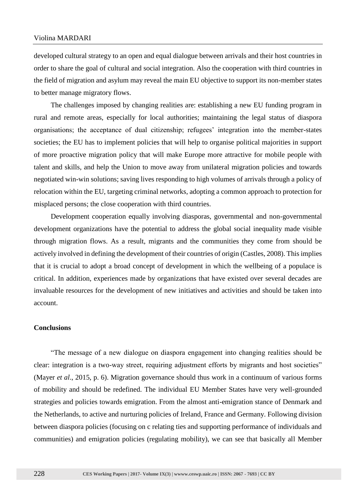developed cultural strategy to an open and equal dialogue between arrivals and their host countries in order to share the goal of cultural and social integration. Also the cooperation with third countries in the field of migration and asylum may reveal the main EU objective to support its non-member states to better manage migratory flows.

The challenges imposed by changing realities are: establishing a new EU funding program in rural and remote areas, especially for local authorities; maintaining the legal status of diaspora organisations; the acceptance of dual citizenship; refugees' integration into the member-states societies; the EU has to implement policies that will help to organise political majorities in support of more proactive migration policy that will make Europe more attractive for mobile people with talent and skills, and help the Union to move away from unilateral migration policies and towards negotiated win-win solutions; saving lives responding to high volumes of arrivals through a policy of relocation within the EU, targeting criminal networks, adopting a common approach to protection for misplaced persons; the close cooperation with third countries.

Development cooperation equally involving diasporas, governmental and non-governmental development organizations have the potential to address the global social inequality made visible through migration flows. As a result, migrants and the communities they come from should be actively involved in defining the development of their countries of origin (Castles, 2008). This implies that it is crucial to adopt a broad concept of development in which the wellbeing of a populace is critical. In addition, experiences made by organizations that have existed over several decades are invaluable resources for the development of new initiatives and activities and should be taken into account.

#### **Conclusions**

"The message of a new dialogue on diaspora engagement into changing realities should be clear: integration is a two-way street, requiring adjustment efforts by migrants and host societies" (Mayer *et al*., 2015, p. 6). Migration governance should thus work in a continuum of various forms of mobility and should be redefined. The individual EU Member States have very well-grounded strategies and policies towards emigration. From the almost anti-emigration stance of Denmark and the Netherlands, to active and nurturing policies of Ireland, France and Germany. Following division between diaspora policies (focusing on c relating ties and supporting performance of individuals and communities) and emigration policies (regulating mobility), we can see that basically all Member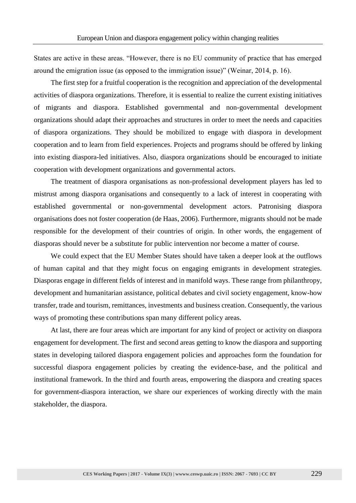States are active in these areas. "However, there is no EU community of practice that has emerged around the emigration issue (as opposed to the immigration issue)" (Weinar, 2014, p. 16).

The first step for a fruitful cooperation is the recognition and appreciation of the developmental activities of diaspora organizations. Therefore, it is essential to realize the current existing initiatives of migrants and diaspora. Established governmental and non-governmental development organizations should adapt their approaches and structures in order to meet the needs and capacities of diaspora organizations. They should be mobilized to engage with diaspora in development cooperation and to learn from field experiences. Projects and programs should be offered by linking into existing diaspora-led initiatives. Also, diaspora organizations should be encouraged to initiate cooperation with development organizations and governmental actors.

The treatment of diaspora organisations as non-professional development players has led to mistrust among diaspora organisations and consequently to a lack of interest in cooperating with established governmental or non-governmental development actors. Patronising diaspora organisations does not foster cooperation (de Haas, 2006). Furthermore, migrants should not be made responsible for the development of their countries of origin. In other words, the engagement of diasporas should never be a substitute for public intervention nor become a matter of course.

We could expect that the EU Member States should have taken a deeper look at the outflows of human capital and that they might focus on engaging emigrants in development strategies. Diasporas engage in different fields of interest and in manifold ways. These range from philanthropy, development and humanitarian assistance, political debates and civil society engagement, know-how transfer, trade and tourism, remittances, investments and business creation. Consequently, the various ways of promoting these contributions span many different policy areas.

At last, there are four areas which are important for any kind of project or activity on diaspora engagement for development. The first and second areas getting to know the diaspora and supporting states in developing tailored diaspora engagement policies and approaches form the foundation for successful diaspora engagement policies by creating the evidence-base, and the political and institutional framework. In the third and fourth areas, empowering the diaspora and creating spaces for government-diaspora interaction, we share our experiences of working directly with the main stakeholder, the diaspora.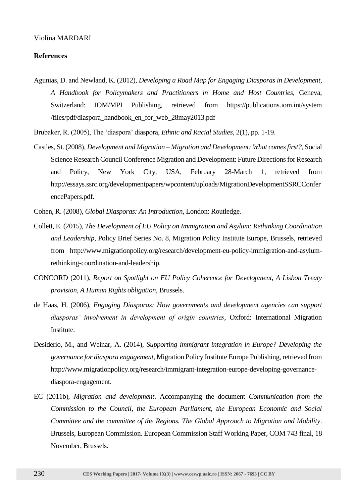#### **References**

Agunias, D. and Newland, K. (2012), *Developing a Road Map for Engaging Diasporas in Development, A Handbook for Policymakers and Practitioners in Home and Host Countries*, Geneva, Switzerland: IOM/MPI Publishing, retrieved from https://publications.iom.int/system /files/pdf/diaspora\_handbook\_en\_for\_web\_28may2013.pdf

Brubaker, R. (2005), The 'diaspora' diaspora, *Ethnic and Racial Studies*, 2(1), pp. 1-19.

Castles, St. (2008), *Development and Migration – Migration and Development: What comes first?*, Social Science Research Council Conference Migration and Development: Future Directions for Research and Policy, New York City, USA, February 28-March 1, retrieved from http://essays.ssrc.org/developmentpapers/wpcontent/uploads/MigrationDevelopmentSSRCConfer encePapers.pdf.

Cohen, R. (2008), *Global Diasporas: An Introduction*, London: Routledge.

- Collett, E. (2015), *The Development of EU Policy on Immigration and Asylum: Rethinking Coordination and Leadership*, Policy Brief Series No. 8, Migration Policy Institute Europe, Brussels, retrieved from http://www.migrationpolicy.org/research/development-eu-policy-immigration-and-asylumrethinking-coordination-and-leadership.
- CONCORD (2011), *Report on Spotlight on EU Policy Coherence for Development, A Lisbon Treaty provision, A Human Rights obligation*, Brussels.
- de Haas, H. (2006), *Engaging Diasporas: How governments and development agencies can support diasporas' involvement in development of origin countries*, Oxford: International Migration Institute.
- Desiderio, M., and Weinar, A. (2014), *Supporting immigrant integration in Europe? Developing the governance for diaspora engagement*, Migration Policy Institute Europe Publishing, retrieved from http://www.migrationpolicy.org/research/immigrant-integration-europe-developing-governancediaspora-engagement.
- EC (2011b), *Migration and development*. Accompanying the document *Communication from the Commission to the Council, the European Parliament, the European Economic and Social Committee and the committee of the Regions. The Global Approach to Migration and Mobility*. Brussels, European Commission. European Commission Staff Working Paper, COM 743 final, 18 November, Brussels.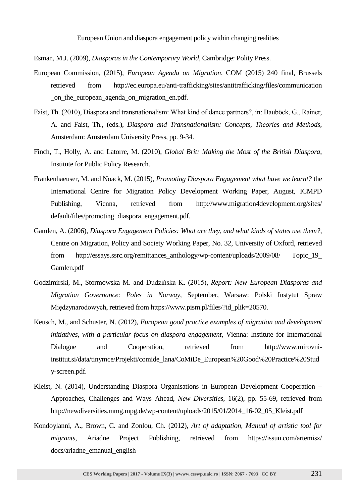Esman, M.J. (2009), *Diasporas in the Contemporary World*, Cambridge: Polity Press.

- European Commission, (2015), *European Agenda on Migration*, COM (2015) 240 final, Brussels retrieved from http://ec.europa.eu/anti-trafficking/sites/antitrafficking/files/communication \_on\_the\_european\_agenda\_on\_migration\_en.pdf.
- Faist, Th. (2010), Diaspora and transnationalism: What kind of dance partners?, in: Bauböck, G., Rainer, A. and Faist, Th., (eds.), *Diaspora and Transnationalism: Concepts, Theories and Methods*, Amsterdam: Amsterdam University Press, pp. 9-34.
- Finch, T., Holly, A. and Latorre, M. (2010), *Global Brit: Making the Most of the British Diaspora*, Institute for Public Policy Research.
- Frankenhaeuser, M. and Noack, M. (2015), *Promoting Diaspora Engagement what have we learnt?* the International Centre for Migration Policy Development Working Paper, August, ICMPD Publishing, Vienna, retrieved from http://www.migration4development.org/sites/ default/files/promoting\_diaspora\_engagement.pdf.
- Gamlen, A. (2006), *Diaspora Engagement Policies: What are they, and what kinds of states use them?*, Centre on Migration, Policy and Society Working Paper, No. 32, University of Oxford, retrieved from http://essays.ssrc.org/remittances\_anthology/wp-content/uploads/2009/08/ Topic\_19\_ Gamlen.pdf
- Godzimirski, M., Stormowska M. and Dudzińska K. (2015), *Report: New European Diasporas and Migration Governance: Poles in Norway*, September, Warsaw: Polski Instytut Spraw Międzynarodowych, retrieved from https://www.pism.pl/files/?id\_plik=20570.
- Keusch, M., and Schuster, N. (2012), *European good practice examples of migration and development initiatives, with a particular focus on diaspora engagement*, Vienna: Institute for International Dialogue and Cooperation, retrieved from http://www.mirovniinstitut.si/data/tinymce/Projekti/comide\_lana/CoMiDe\_European%20Good%20Practice%20Stud y-screen.pdf.
- Kleist, N. (2014), Understanding Diaspora Organisations in European Development Cooperation Approaches, Challenges and Ways Ahead, *New Diversities*, 16(2), pp. 55-69, retrieved from http://newdiversities.mmg.mpg.de/wp-content/uploads/2015/01/2014\_16-02\_05\_Kleist.pdf
- Kondoylanni, A., Brown, C. and Zonlou, Ch. (2012), *Art of adaptation, Manual of artistic tool for migrants*, Ariadne Project Publishing, retrieved from https://issuu.com/artemisz/ docs/ariadne\_emanual\_english